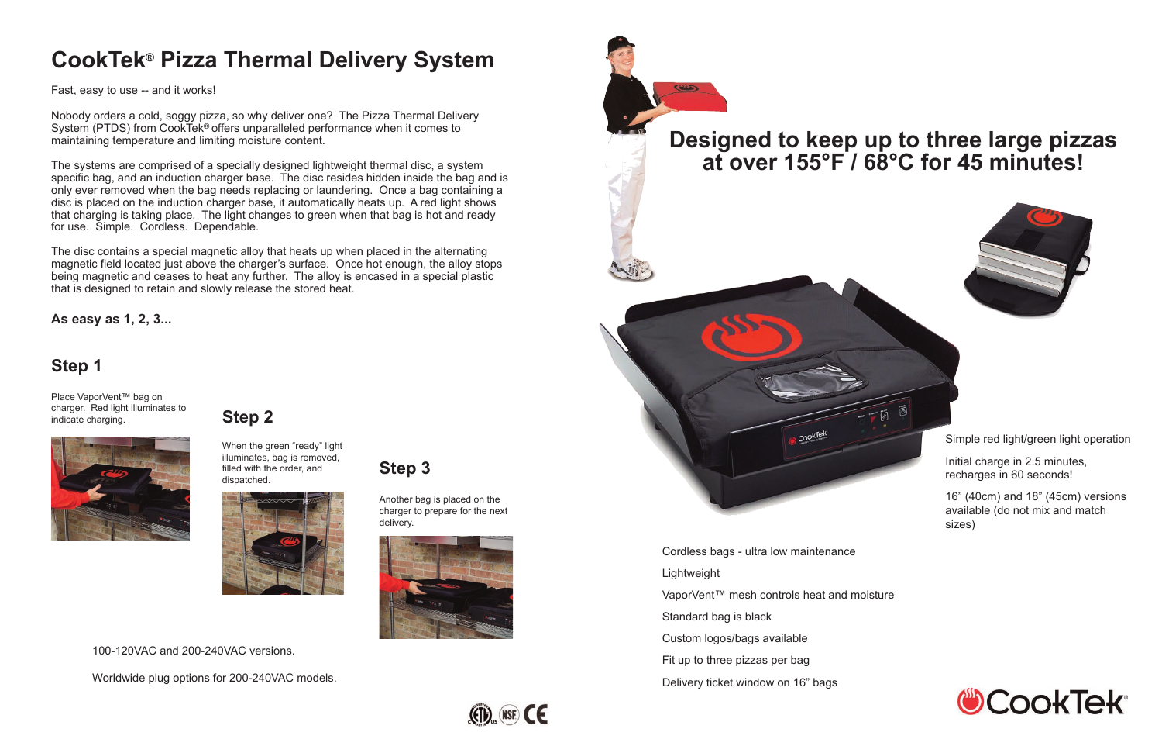# **CookTek® Pizza Thermal Delivery System**

Fast, easy to use -- and it works!

Nobody orders a cold, soggy pizza, so why deliver one? The Pizza Thermal Delivery System (PTDS) from CookTek® offers unparalleled performance when it comes to maintaining temperature and limiting moisture content.

The systems are comprised of a specially designed lightweight thermal disc, a system specific bag, and an induction charger base. The disc resides hidden inside the bag and is only ever removed when the bag needs replacing or laundering. Once a bag containing a disc is placed on the induction charger base, it automatically heats up. A red light shows that charging is taking place. The light changes to green when that bag is hot and ready for use. Simple. Cordless. Dependable.

The disc contains a special magnetic alloy that heats up when placed in the alternating magnetic field located just above the charger's surface. Once hot enough, the alloy stops being magnetic and ceases to heat any further. The alloy is encased in a special plastic that is designed to retain and slowly release the stored heat.

## **Step 1**

Place VaporVent™ bag on charger. Red light illuminates to indicate charging.



**Step 3**

Another bag is placed on the charger to prepare for the next



delivery.

#### **Step 2**

When the green "ready" light illuminates, bag is removed, filled with the order, and dispatched.

**As easy as 1, 2, 3...**

# **Designed to keep up to three large pizzas at over 155°F / 68°C for 45 minutes!**



- Cordless bags ultra low maintenance Lightweight VaporVent™ mesh controls heat and moisture Standard bag is black Custom logos/bags available Fit up to three pizzas per bag
- Delivery ticket window on 16" bags



Simple red light/green light operation

Initial charge in 2.5 minutes, recharges in 60 seconds!

16" (40cm) and 18" (45cm) versions available (do not mix and match sizes)



100-120VAC and 200-240VAC versions.

Worldwide plug options for 200-240VAC models.